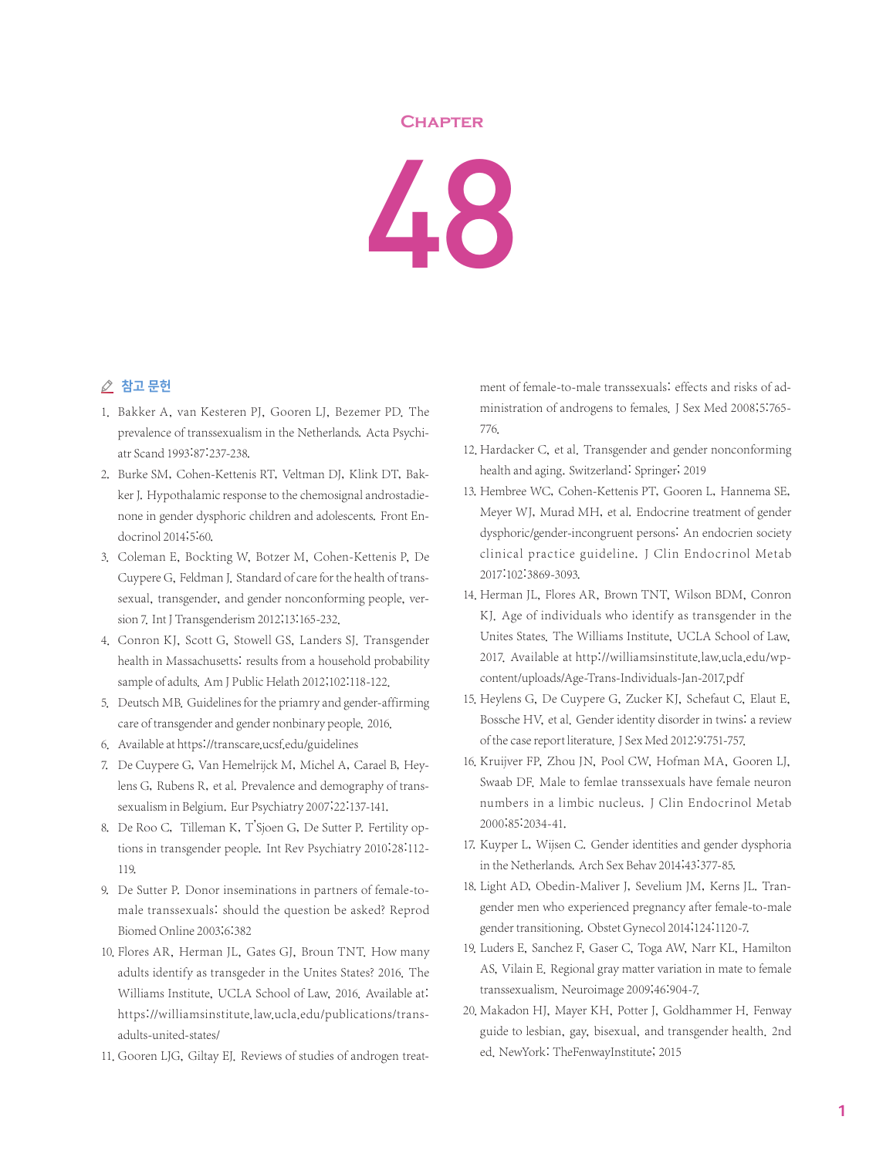## **Chapter**

48

## ⊘ 참고 문헌

- 1. Bakker A, van Kesteren PJ, Gooren LJ, Bezemer PD. The prevalence of transsexualism in the Netherlands. Acta Psychiatr Scand 1993:87:237-238.
- 2. Burke SM, Cohen-Kettenis RT, Veltman DJ, Klink DT, Bakker J. Hypothalamic response to the chemosignal androstadienone in gender dysphoric children and adolescents. Front Endocrinol 2014;5:60.
- 3. Coleman E, Bockting W, Botzer M, Cohen-Kettenis P, De Cuypere G, Feldman J. Standard of care for the health of transsexual, transgender, and gender nonconforming people, version 7.Int J Transgenderism 2012;13:165-232.
- 4. Conron KJ, Scott G, Stowell GS, Landers SJ, Transgender health in Massachusetts: results from a household probability sample of adults. Am J Public Helath 2012;102:118-122.
- 5. Deutsch MB. Guidelines for the priamry and gender-affirming care of transgender and gender nonbinary people. 2016.
- 6. Available at https://transcare.ucsf.edu/guidelines
- 7. De Cuypere G, Van Hemelrijck M, Michel A, Carael B, Heylens G, Rubens R, et al. Prevalence and demography of transsexualism in Belgium. Eur Psychiatry 2007;22:137-141.
- 8. De Roo C, Tilleman K, T'Sjoen G, De Sutter P. Fertility options in transgender people. Int Rev Psychiatry 2010;28:112- 119.
- 9. De Sutter P. Donor inseminations in partners of female-tomale transsexuals: should the question be asked? Reprod Biomed Online 2003;6:382
- 10. Flores AR, Herman JL, Gates GJ, Broun TNT. How many adults identify as transgeder in the Unites States? 2016. The Williams Institute, UCLA School of Law, 2016. Available at: https://williamsinstitute.law.ucla.edu/publications/transadults-united-states/
- 11. Gooren LJG, Giltay EJ. Reviews of studies of androgen treat-

ment of female-to-male transsexuals: effects and risks of administration of androgens to females. J Sex Med 2008;5:765- 776.

- 12. Hardacker C, et al. Transgender and gender nonconforming health and aging. Switzerland: Springer; 2019
- 13. Hembree WC, Cohen-Kettenis PT, Gooren L, Hannema SE, Meyer WJ, Murad MH, et al. Endocrine treatment of gender dysphoric/gender-incongruent persons: An endocrien society clinical practice guideline. J Clin Endocrinol Metab 2017:102:3869-3093.
- 14. Herman JL, Flores AR, Brown TNT, Wilson BDM, Conron KJ. Age of individuals who identify as transgender in the Unites States. The Williams Institute, UCLA School of Law, 2017. Available at http://williamsinstitute.law.ucla.edu/wpcontent/uploads/Age-Trans-Individuals-Jan-2017.pdf
- 15. Heylens G, De Cuypere G, Zucker KJ, Schefaut C, Elaut E, Bossche HV, et al. Gender identity disorder in twins: a review of the case report literature. J Sex Med 2012:9:751-757.
- 16. Kruijver FP, Zhou JN, Pool CW, Hofman MA, Gooren LJ, Swaab DF. Male to femlae transsexuals have female neuron numbers in a limbic nucleus. J Clin Endocrinol Metab 2000;85:2034-41.
- 17. Kuyper L, Wijsen C. Gender identities and gender dysphoria in the Netherlands. Arch Sex Behav 2014;43:377-85.
- 18. Light AD, Obedin-Maliver J, Sevelium JM, Kerns JL. Trangender men who experienced pregnancy after female-to-male gender transitioning. Obstet Gynecol 2014;124:1120-7.
- 19. Luders E, Sanchez F, Gaser C, Toga AW, Narr KL, Hamilton AS, Vilain E. Regional gray matter variation in mate to female transsexualism. Neuroimage 2009;46:904-7.
- 20. Makadon HJ, Mayer KH, Potter J, Goldhammer H. Fenway guide to lesbian, gay, bisexual, and transgender health. 2nd ed. NewYork: TheFenwayInstitute; 2015